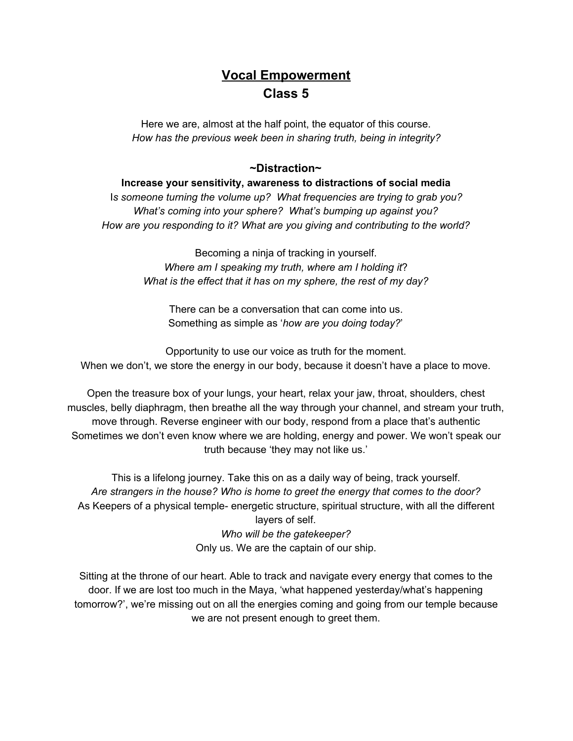# **Vocal Empowerment Class 5**

Here we are, almost at the half point, the equator of this course. *How has the previous week been in sharing truth, being in integrity?*

#### **~Distraction~**

**Increase your sensitivity, awareness to distractions of social media** I*s someone turning the volume up? What frequencies are trying to grab you? What's coming into your sphere? What's bumping up against you? How are you responding to it? What are you giving and contributing to the world?*

> Becoming a ninja of tracking in yourself. *Where am I speaking my truth, where am I holding it*? *What is the effect that it has on my sphere, the rest of my day?*

There can be a conversation that can come into us. Something as simple as '*how are you doing today?*'

Opportunity to use our voice as truth for the moment. When we don't, we store the energy in our body, because it doesn't have a place to move.

Open the treasure box of your lungs, your heart, relax your jaw, throat, shoulders, chest muscles, belly diaphragm, then breathe all the way through your channel, and stream your truth, move through. Reverse engineer with our body, respond from a place that's authentic Sometimes we don't even know where we are holding, energy and power. We won't speak our truth because 'they may not like us.'

This is a lifelong journey. Take this on as a daily way of being, track yourself. *Are strangers in the house? Who is home to greet the energy that comes to the door?* As Keepers of a physical temple- energetic structure, spiritual structure, with all the different layers of self. *Who will be the gatekeeper?* Only us. We are the captain of our ship.

Sitting at the throne of our heart. Able to track and navigate every energy that comes to the door. If we are lost too much in the Maya, 'what happened yesterday/what's happening tomorrow?', we're missing out on all the energies coming and going from our temple because we are not present enough to greet them.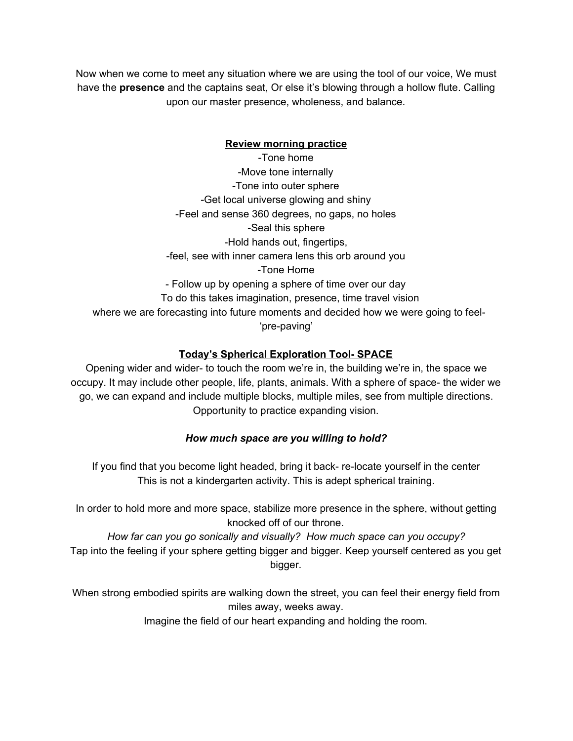Now when we come to meet any situation where we are using the tool of our voice, We must have the **presence** and the captains seat, Or else it's blowing through a hollow flute. Calling upon our master presence, wholeness, and balance.

#### **Review morning practice**

-Tone home -Move tone internally -Tone into outer sphere -Get local universe glowing and shiny -Feel and sense 360 degrees, no gaps, no holes -Seal this sphere -Hold hands out, fingertips, -feel, see with inner camera lens this orb around you -Tone Home - Follow up by opening a sphere of time over our day To do this takes imagination, presence, time travel vision where we are forecasting into future moments and decided how we were going to feel- 'pre-paving'

#### **Today's Spherical Exploration Tool- SPACE**

Opening wider and wider- to touch the room we're in, the building we're in, the space we occupy. It may include other people, life, plants, animals. With a sphere of space- the wider we go, we can expand and include multiple blocks, multiple miles, see from multiple directions. Opportunity to practice expanding vision.

#### *How much space are you willing to hold?*

If you find that you become light headed, bring it back- re-locate yourself in the center This is not a kindergarten activity. This is adept spherical training.

In order to hold more and more space, stabilize more presence in the sphere, without getting knocked off of our throne.

*How far can you go sonically and visually? How much space can you occupy?* Tap into the feeling if your sphere getting bigger and bigger. Keep yourself centered as you get bigger.

When strong embodied spirits are walking down the street, you can feel their energy field from miles away, weeks away.

Imagine the field of our heart expanding and holding the room.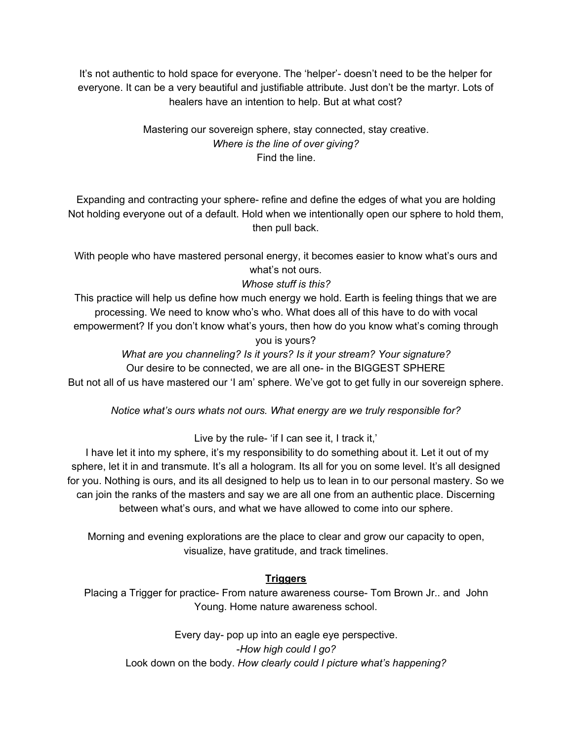It's not authentic to hold space for everyone. The 'helper'- doesn't need to be the helper for everyone. It can be a very beautiful and justifiable attribute. Just don't be the martyr. Lots of healers have an intention to help. But at what cost?

#### Mastering our sovereign sphere, stay connected, stay creative. *Where is the line of over giving?* Find the line.

Expanding and contracting your sphere- refine and define the edges of what you are holding Not holding everyone out of a default. Hold when we intentionally open our sphere to hold them, then pull back.

With people who have mastered personal energy, it becomes easier to know what's ours and what's not ours.

## *Whose stuff is this?*

This practice will help us define how much energy we hold. Earth is feeling things that we are processing. We need to know who's who. What does all of this have to do with vocal empowerment? If you don't know what's yours, then how do you know what's coming through you is yours?

*What are you channeling? Is it yours? Is it your stream? Your signature?* Our desire to be connected, we are all one- in the BIGGEST SPHERE But not all of us have mastered our 'I am' sphere. We've got to get fully in our sovereign sphere.

*Notice what's ours whats not ours. What energy are we truly responsible for?*

Live by the rule- 'if I can see it, I track it,'

I have let it into my sphere, it's my responsibility to do something about it. Let it out of my sphere, let it in and transmute. It's all a hologram. Its all for you on some level. It's all designed for you. Nothing is ours, and its all designed to help us to lean in to our personal mastery. So we can join the ranks of the masters and say we are all one from an authentic place. Discerning between what's ours, and what we have allowed to come into our sphere.

Morning and evening explorations are the place to clear and grow our capacity to open, visualize, have gratitude, and track timelines.

#### **Triggers**

Placing a Trigger for practice- From nature awareness course- Tom Brown Jr.. and John Young. Home nature awareness school.

Every day- pop up into an eagle eye perspective. -*How high could I go?* Look down on the body. *How clearly could I picture what's happening?*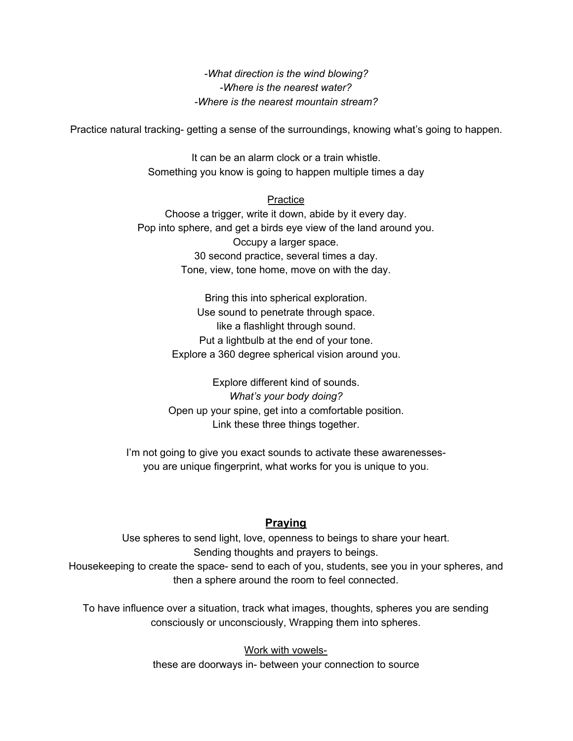*-What direction is the wind blowing? -Where is the nearest water? -Where is the nearest mountain stream?*

Practice natural tracking- getting a sense of the surroundings, knowing what's going to happen.

It can be an alarm clock or a train whistle. Something you know is going to happen multiple times a day

#### **Practice**

Choose a trigger, write it down, abide by it every day. Pop into sphere, and get a birds eye view of the land around you. Occupy a larger space. 30 second practice, several times a day. Tone, view, tone home, move on with the day.

> Bring this into spherical exploration. Use sound to penetrate through space. like a flashlight through sound. Put a lightbulb at the end of your tone. Explore a 360 degree spherical vision around you.

Explore different kind of sounds. *What's your body doing?* Open up your spine, get into a comfortable position. Link these three things together.

I'm not going to give you exact sounds to activate these awarenessesyou are unique fingerprint, what works for you is unique to you.

#### **Praying**

Use spheres to send light, love, openness to beings to share your heart. Sending thoughts and prayers to beings. Housekeeping to create the space- send to each of you, students, see you in your spheres, and then a sphere around the room to feel connected.

To have influence over a situation, track what images, thoughts, spheres you are sending consciously or unconsciously, Wrapping them into spheres.

> Work with vowelsthese are doorways in- between your connection to source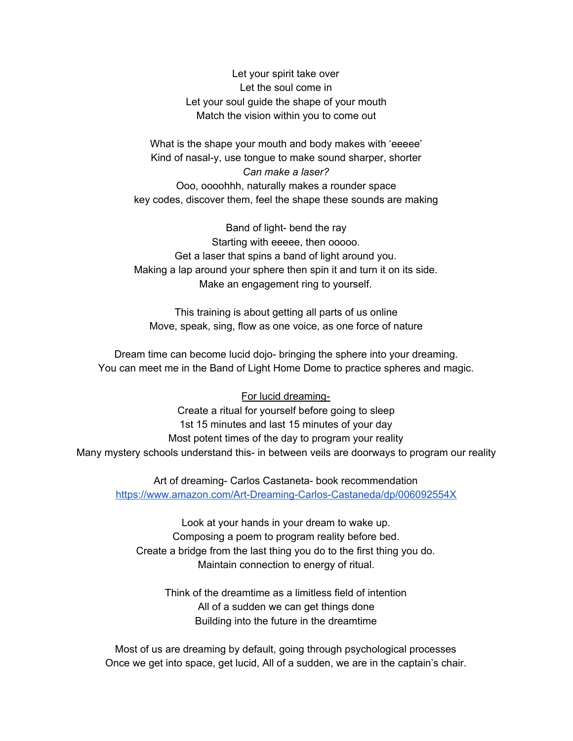Let your spirit take over Let the soul come in Let your soul guide the shape of your mouth Match the vision within you to come out

What is the shape your mouth and body makes with 'eeeee' Kind of nasal-y, use tongue to make sound sharper, shorter *Can make a laser?* Ooo, oooohhh, naturally makes a rounder space key codes, discover them, feel the shape these sounds are making

Band of light- bend the ray Starting with eeeee, then ooooo. Get a laser that spins a band of light around you. Making a lap around your sphere then spin it and turn it on its side. Make an engagement ring to yourself.

This training is about getting all parts of us online Move, speak, sing, flow as one voice, as one force of nature

Dream time can become lucid dojo- bringing the sphere into your dreaming. You can meet me in the Band of Light Home Dome to practice spheres and magic.

#### For lucid dreaming-

Create a ritual for yourself before going to sleep 1st 15 minutes and last 15 minutes of your day Most potent times of the day to program your reality Many mystery schools understand this- in between veils are doorways to program our reality

Art of dreaming- Carlos Castaneta- book recommendation <https://www.amazon.com/Art-Dreaming-Carlos-Castaneda/dp/006092554X>

Look at your hands in your dream to wake up. Composing a poem to program reality before bed. Create a bridge from the last thing you do to the first thing you do. Maintain connection to energy of ritual.

Think of the dreamtime as a limitless field of intention All of a sudden we can get things done Building into the future in the dreamtime

Most of us are dreaming by default, going through psychological processes Once we get into space, get lucid, All of a sudden, we are in the captain's chair.